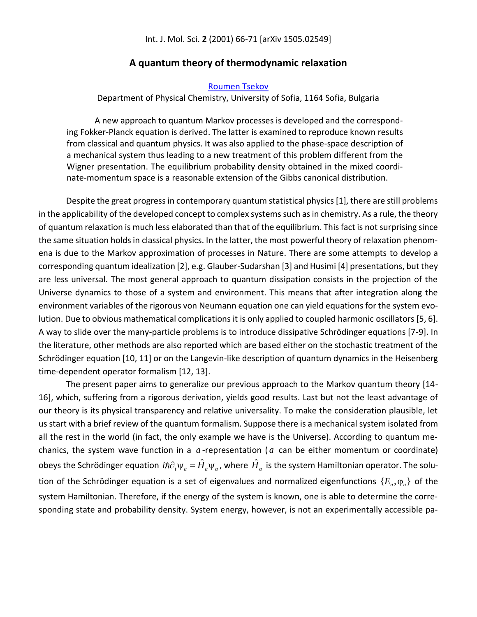## **A quantum theory of thermodynamic relaxation**

## [Roumen Tsekov](http://www.researchgate.net/profile/Roumen_Tsekov)

Department of Physical Chemistry, University of Sofia, 1164 Sofia, Bulgaria

A new approach to quantum Markov processes is developed and the corresponding Fokker-Planck equation is derived. The latter is examined to reproduce known results from classical and quantum physics. It was also applied to the phase-space description of a mechanical system thus leading to a new treatment of this problem different from the Wigner presentation. The equilibrium probability density obtained in the mixed coordinate-momentum space is a reasonable extension of the Gibbs canonical distribution.

Despite the great progress in contemporary quantum statistical physics [1], there are still problems in the applicability of the developed concept to complex systems such as in chemistry. As a rule, the theory of quantum relaxation is much less elaborated than that of the equilibrium. This fact is not surprising since the same situation holds in classical physics. In the latter, the most powerful theory of relaxation phenomena is due to the Markov approximation of processes in Nature. There are some attempts to develop a corresponding quantum idealization [2], e.g. Glauber-Sudarshan [3] and Husimi [4] presentations, but they are less universal. The most general approach to quantum dissipation consists in the projection of the Universe dynamics to those of a system and environment. This means that after integration along the environment variables of the rigorous von Neumann equation one can yield equations for the system evolution. Due to obvious mathematical complications it is only applied to coupled harmonic oscillators [5, 6]. A way to slide over the many-particle problems is to introduce dissipative Schrödinger equations [7-9]. In the literature, other methods are also reported which are based either on the stochastic treatment of the Schrödinger equation [10, 11] or on the Langevin-like description of quantum dynamics in the Heisenberg time-dependent operator formalism [12, 13].

The present paper aims to generalize our previous approach to the Markov quantum theory [14- 16], which, suffering from a rigorous derivation, yields good results. Last but not the least advantage of our theory is its physical transparency and relative universality. To make the consideration plausible, let us start with a brief review of the quantum formalism. Suppose there is a mechanical system isolated from all the rest in the world (in fact, the only example we have is the Universe). According to quantum mechanics, the system wave function in a  $a$ -representation ( $a$  can be either momentum or coordinate) obeys the Schrödinger equation  $i\hbar\partial_t\psi_a=\hat{H}_a\psi_a$  , where  $\hat{H}_a$  is the system Hamiltonian operator. The solution of the Schrödinger equation is a set of eigenvalues and normalized eigenfunctions  $\{E_n,\phi_n\}$  of the system Hamiltonian. Therefore, if the energy of the system is known, one is able to determine the corresponding state and probability density. System energy, however, is not an experimentally accessible pa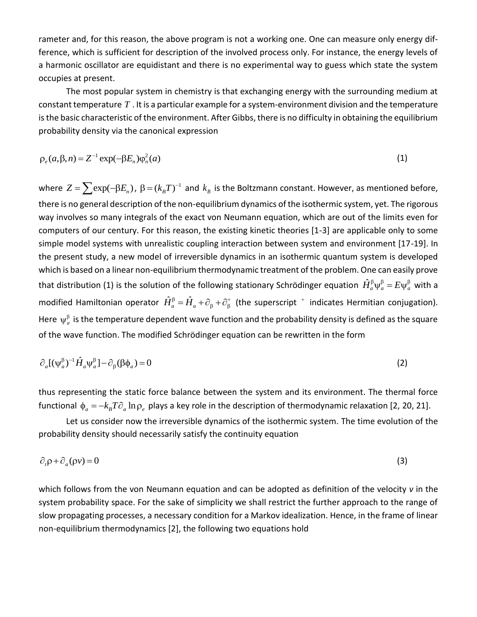rameter and, for this reason, the above program is not a working one. One can measure only energy difference, which is sufficient for description of the involved process only. For instance, the energy levels of a harmonic oscillator are equidistant and there is no experimental way to guess which state the system occupies at present.

The most popular system in chemistry is that exchanging energy with the surrounding medium at constant temperature  $T$  . It is a particular example for a system-environment division and the temperature is the basic characteristic of the environment. After Gibbs, there is no difficulty in obtaining the equilibrium probability density via the canonical expression

$$
\rho_e(a,\beta,n) = Z^{-1} \exp(-\beta E_n) \varphi_n^2(a)
$$
\n(1)

where  $Z = \sum \exp(-\beta E_n)$ ,  $\beta = (k_B T)^{-1}$  and  $k_B$  is the Boltzmann constant. However, as mentioned before, there is no general description of the non-equilibrium dynamics of the isothermic system, yet. The rigorous way involves so many integrals of the exact von Neumann equation, which are out of the limits even for computers of our century. For this reason, the existing kinetic theories [1-3] are applicable only to some simple model systems with unrealistic coupling interaction between system and environment [17-19]. In the present study, a new model of irreversible dynamics in an isothermic quantum system is developed which is based on a linear non-equilibrium thermodynamic treatment of the problem. One can easily prove that distribution (1) is the solution of the following stationary Schrödinger equation  $\hat{H}_a^{\beta}\psi_a^{\beta}=E\psi_a^{\beta}$  with a modified Hamiltonian operator  $\hat{H}_a^{\beta}=\hat{H}_a+\partial_\beta+\partial_\beta^+$  (the superscript  $^+$  indicates Hermitian conjugation). Here  $\psi_a^{\beta}$  is the temperature dependent wave function and the probability density is defined as the square of the wave function. The modified Schrödinger equation can be rewritten in the form

$$
\partial_a [(\psi_a^{\beta})^{-1} \hat{H}_a \psi_a^{\beta}] - \partial_{\beta} (\beta \phi_a) = 0 \tag{2}
$$

thus representing the static force balance between the system and its environment. The thermal force functional  $\phi_a = - k_B T \partial_a \ln \rho_e$  plays a key role in the description of thermodynamic relaxation [2, 20, 21].

Let us consider now the irreversible dynamics of the isothermic system. The time evolution of the probability density should necessarily satisfy the continuity equation

$$
\partial_t \rho + \partial_a (\rho \nu) = 0 \tag{3}
$$

which follows from the von Neumann equation and can be adopted as definition of the velocity *v* in the system probability space. For the sake of simplicity we shall restrict the further approach to the range of slow propagating processes, a necessary condition for a Markov idealization. Hence, in the frame of linear non-equilibrium thermodynamics [2], the following two equations hold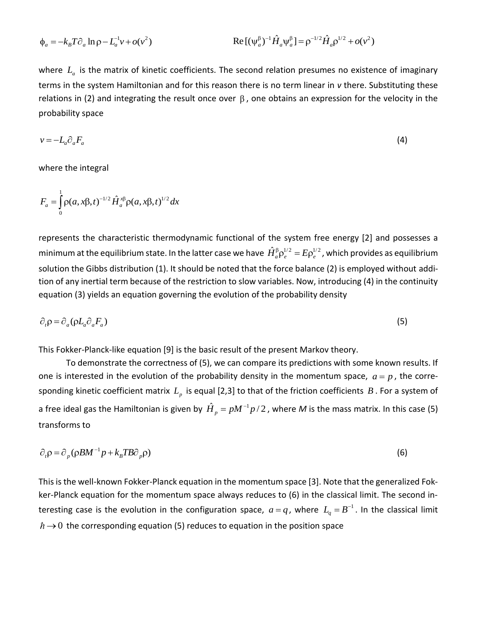$$
\Phi_a = -k_B T \partial_a \ln \rho - L_a^{-1} v + o(v^2)
$$
\n
$$
\text{Re} \left[ (\psi_a^{\beta})^{-1} \hat{H}_a \psi_a^{\beta} \right] = \rho^{-1/2} \hat{H}_a \rho^{1/2} + o(v^2)
$$

where  $L_a$  is the matrix of kinetic coefficients. The second relation presumes no existence of imaginary terms in the system Hamiltonian and for this reason there is no term linear in *v* there. Substituting these relations in (2) and integrating the result once over  $\beta$ , one obtains an expression for the velocity in the probability space

$$
v = -L_a \partial_a F_a \tag{4}
$$

where the integral

$$
F_a = \int_0^1 \rho(a, x\beta, t)^{-1/2} \hat{H}_a^{x\beta} \rho(a, x\beta, t)^{1/2} dx
$$

represents the characteristic thermodynamic functional of the system free energy [2] and possesses a minimum at the equilibrium state. In the latter case we have  $\hat{H}^{\beta}_a\rho^{1/2}_e=E\rho^{1/2}_e$  , which provides as equilibrium solution the Gibbs distribution (1). It should be noted that the force balance (2) is employed without addition of any inertial term because of the restriction to slow variables. Now, introducing (4) in the continuity equation (3) yields an equation governing the evolution of the probability density

$$
\partial_t \rho = \partial_a (\rho L_a \partial_a F_a) \tag{5}
$$

This Fokker-Planck-like equation [9] is the basic result of the present Markov theory.

To demonstrate the correctness of (5), we can compare its predictions with some known results. If one is interested in the evolution of the probability density in the momentum space,  $a = p$ , the corresponding kinetic coefficient matrix  $L_p$  is equal [2,3] to that of the friction coefficients  $B$  . For a system of a free ideal gas the Hamiltonian is given by  $\hat{H}_p = pM^{-1}p/2$  , where M is the mass matrix. In this case (5) transforms to

$$
\partial_{\rho} \rho = \partial_{\rho} (\rho B M^{-1} p + k_{B} T B \partial_{\rho} \rho) \tag{6}
$$

This is the well-known Fokker-Planck equation in the momentum space [3]. Note that the generalized Fokker-Planck equation for the momentum space always reduces to (6) in the classical limit. The second interesting case is the evolution in the configuration space,  $a = q$ , where  $L_q = B^{-1}$ . In the classical limit  $\rightarrow$  0 the corresponding equation (5) reduces to equation in the position space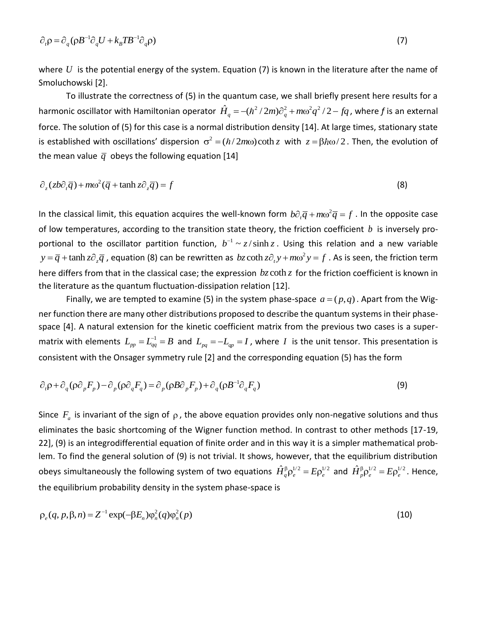$$
\partial_{\rho} \rho = \partial_{q} (\rho B^{-1} \partial_{q} U + k_{B} T B^{-1} \partial_{q} \rho)
$$
\n(7)

where  $U$  is the potential energy of the system. Equation (7) is known in the literature after the name of Smoluchowski [2].

To illustrate the correctness of (5) in the quantum case, we shall briefly present here results for a Fo illustrate the correctness of (5) in the quantum case, we shall briefly present here results for a<br>harmonic oscillator with Hamiltonian operator  $\hat{H}_q = -(\hbar^2/2m)\partial_q^2 + m\omega^2 q^2/2 - fq$ , where f is an external force. The solution of (5) for this case is a normal distribution density [14]. At large times, stationary state is established with oscillations' dispersion  $\sigma^2 = (\hbar/2m\omega) \coth z$  with  $z = \beta \hbar \omega/2$ . Then, the evolution of the mean value  $\bar{q}$  obeys the following equation [14]

$$
\partial_z(zb\partial_t \overline{q}) + m\omega^2(\overline{q} + \tanh z \partial_z \overline{q}) = f \tag{8}
$$

In the classical limit, this equation acquires the well-known form  $b\partial_r\overline{q}+m\omega^2\overline{q}=f$  . In the opposite case of low temperatures, according to the transition state theory, the friction coefficient *b* is inversely proportional to the oscillator partition function,  $b^{-1} \sim z / \sinh z$ . Using this relation and a new variable  $y = \overline{q} + \tanh z \partial_z \overline{q}$ , equation (8) can be rewritten as  $bz \coth z \partial_t y + m \omega^2 y = f$ . As is seen, the friction term here differs from that in the classical case; the expression  $b$ z coth z for the friction coefficient is known in the literature as the quantum fluctuation-dissipation relation [12].

Finally, we are tempted to examine (5) in the system phase-space  $a = (p, q)$ . Apart from the Wigner function there are many other distributions proposed to describe the quantum systems in their phasespace [4]. A natural extension for the kinetic coefficient matrix from the previous two cases is a supermatrix with elements  $L_{_{pp}} = L_{_{qq}}^{-1} = B$  and  $L_{_{pq}} = -L_{_{qp}} = I$ , where  $I$  is the unit tensor. This presentation is

consistent with the Onsager symmetry rule [2] and the corresponding equation (5) has the form  
\n
$$
\partial_t \rho + \partial_q (\rho \partial_p F_p) - \partial_p (\rho \partial_q F_q) = \partial_p (\rho B \partial_p F_p) + \partial_q (\rho B^{-1} \partial_q F_q)
$$
\n(9)

Since  $F_a$  is invariant of the sign of  $\rho$ , the above equation provides only non-negative solutions and thus eliminates the basic shortcoming of the Wigner function method. In contrast to other methods [17-19, 22], (9) is an integrodifferential equation of finite order and in this way it is a simpler mathematical problem. To find the general solution of (9) is not trivial. It shows, however, that the equilibrium distribution obeys simultaneously the following system of two equations  $\hat{H}^{\beta}_q \rho^{1/2}_e = E \rho^{1/2}_e$  and  $\hat{H}^{\beta}_p \rho^{1/2}_e = E \rho^{1/2}_e$ . Hence, the equilibrium probability density in the system phase-space is

$$
\rho_e(q, p, \beta, n) = Z^{-1} \exp(-\beta E_n) \varphi_n^2(q) \varphi_n^2(p)
$$
\n(10)